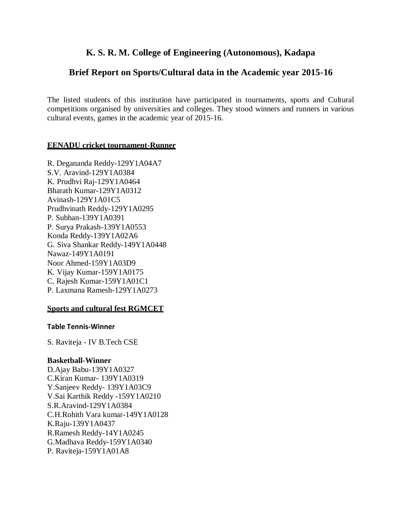# **K. S. R. M. College of Engineering (Autonomous), Kadapa**

## **Brief Report on Sports/Cultural data in the Academic year 2015-16**

The listed students of this institution have participated in tournaments, sports and Cultural competitions organised by universities and colleges. They stood winners and runners in various cultural events, games in the academic year of 2015-16.

#### **EENADU cricket tournament-Runner**

R. Degananda Reddy-129Y1A04A7 S.V. Aravind-129Y1A0384 K. Prudhvi Raj-129Y1A0464 Bharath Kumar-129Y1A0312 Avinash-129Y1A01C5 Prudhvinath Reddy-129Y1A0295 P. Subhan-139Y1A0391 P. Surya Prakash-139Y1A0553 Konda Reddy-139Y1A02A6 G. Siva Shankar Reddy-149Y1A0448 Nawaz-149Y1A0191 Noor Ahmed-159Y1A03D9 K. Vijay Kumar-159Y1A0175 C. Rajesh Kumar-159Y1A01C1 P. Laxmana Ramesh-129Y1A0273

### **Sports and cultural fest RGMCET**

#### **Table Tennis-Winner**

S. Raviteja - IV B.Tech CSE

#### **Basketball-Winner**

D.Ajay Babu-139Y1A0327 C.Kiran Kumar- 139Y1A0319 Y.Sanjeev Reddy- 139Y1A03C9 V.Sai Karthik Reddy -159Y1A0210 S.R.Aravind-129Y1A0384 C.H.Rohith Vara kumar-149Y1A0128 K.Raju-139Y1A0437 R.Ramesh Reddy-14Y1A0245 G.Madhava Reddy-159Y1A0340 P. Raviteja-159Y1A01A8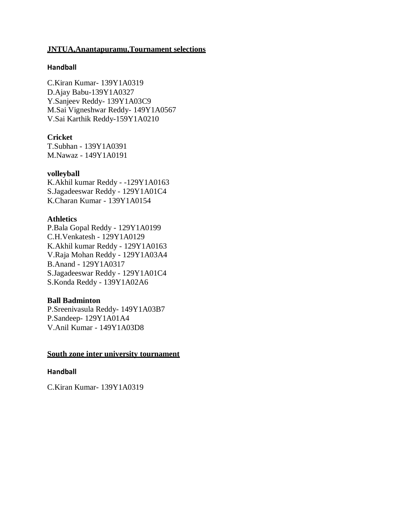#### **JNTUA,Anantapuramu,Tournament selections**

#### **Handball**

C.Kiran Kumar- 139Y1A0319 D.Ajay Babu-139Y1A0327 Y.Sanjeev Reddy- 139Y1A03C9 M.Sai Vigneshwar Reddy- 149Y1A0567 V.Sai Karthik Reddy-159Y1A0210

### **Cricket**

T.Subhan - 139Y1A0391 M.Nawaz - 149Y1A0191

#### **volleyball**

K.Akhil kumar Reddy - -129Y1A0163 S.Jagadeeswar Reddy - 129Y1A01C4 K.Charan Kumar - 139Y1A0154

#### **Athletics**

P.Bala Gopal Reddy - 129Y1A0199 C.H.Venkatesh - 129Y1A0129 K.Akhil kumar Reddy - 129Y1A0163 V.Raja Mohan Reddy - 129Y1A03A4 B.Anand - 129Y1A0317 S.Jagadeeswar Reddy - 129Y1A01C4 S.Konda Reddy - 139Y1A02A6

#### **Ball Badminton**

P.Sreenivasula Reddy- 149Y1A03B7 P.Sandeep- 129Y1A01A4 V.Anil Kumar - 149Y1A03D8

### **South zone inter university tournament**

#### **Handball**

C.Kiran Kumar- 139Y1A0319